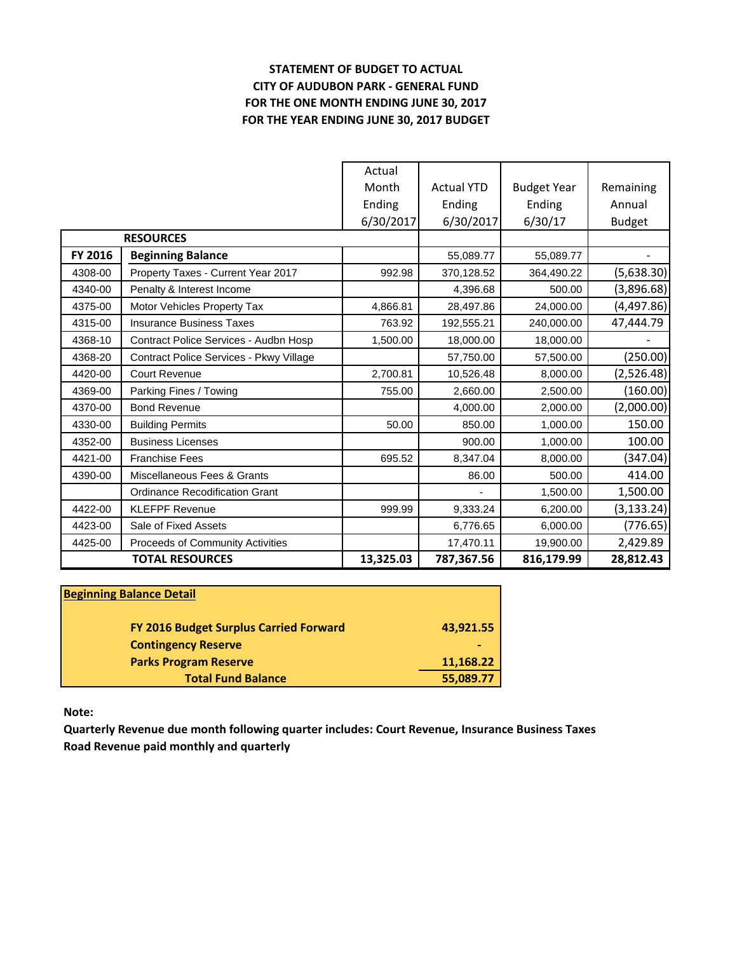# **STATEMENT OF BUDGET TO ACTUAL CITY OF AUDUBON PARK - GENERAL FUND FOR THE ONE MONTH ENDING JUNE 30, 2017 FOR THE YEAR ENDING JUNE 30, 2017 BUDGET**

|         |                                         | Actual    |                   |                    |               |
|---------|-----------------------------------------|-----------|-------------------|--------------------|---------------|
|         |                                         | Month     | <b>Actual YTD</b> | <b>Budget Year</b> | Remaining     |
|         |                                         | Ending    | Ending            | Ending             | Annual        |
|         |                                         | 6/30/2017 | 6/30/2017         | 6/30/17            | <b>Budget</b> |
|         | <b>RESOURCES</b>                        |           |                   |                    |               |
| FY 2016 | <b>Beginning Balance</b>                |           | 55,089.77         | 55,089.77          |               |
| 4308-00 | Property Taxes - Current Year 2017      | 992.98    | 370,128.52        | 364,490.22         | (5,638.30)    |
| 4340-00 | Penalty & Interest Income               |           | 4,396.68          | 500.00             | (3,896.68)    |
| 4375-00 | Motor Vehicles Property Tax             | 4.866.81  | 28,497.86         | 24.000.00          | (4,497.86)    |
| 4315-00 | <b>Insurance Business Taxes</b>         | 763.92    | 192,555.21        | 240,000.00         | 47,444.79     |
| 4368-10 | Contract Police Services - Audbn Hosp   | 1,500.00  | 18,000.00         | 18,000.00          |               |
| 4368-20 | Contract Police Services - Pkwy Village |           | 57,750.00         | 57,500.00          | (250.00)      |
| 4420-00 | <b>Court Revenue</b>                    | 2,700.81  | 10,526.48         | 8,000.00           | (2,526.48)    |
| 4369-00 | Parking Fines / Towing                  | 755.00    | 2,660.00          | 2,500.00           | (160.00)      |
| 4370-00 | <b>Bond Revenue</b>                     |           | 4,000.00          | 2,000.00           | (2,000.00)    |
| 4330-00 | <b>Building Permits</b>                 | 50.00     | 850.00            | 1,000.00           | 150.00        |
| 4352-00 | <b>Business Licenses</b>                |           | 900.00            | 1,000.00           | 100.00        |
| 4421-00 | <b>Franchise Fees</b>                   | 695.52    | 8,347.04          | 8,000.00           | (347.04)      |
| 4390-00 | Miscellaneous Fees & Grants             |           | 86.00             | 500.00             | 414.00        |
|         | <b>Ordinance Recodification Grant</b>   |           |                   | 1,500.00           | 1,500.00      |
| 4422-00 | <b>KLEFPF Revenue</b>                   | 999.99    | 9,333.24          | 6,200.00           | (3, 133.24)   |
| 4423-00 | Sale of Fixed Assets                    |           | 6,776.65          | 6,000.00           | (776.65)      |
| 4425-00 | Proceeds of Community Activities        |           | 17,470.11         | 19,900.00          | 2,429.89      |
|         | <b>TOTAL RESOURCES</b>                  | 13,325.03 | 787,367.56        | 816,179.99         | 28,812.43     |

| <b>Beginning Balance Detail</b>        |           |  |  |  |
|----------------------------------------|-----------|--|--|--|
| FY 2016 Budget Surplus Carried Forward | 43,921.55 |  |  |  |
| <b>Contingency Reserve</b>             | ٠         |  |  |  |
| <b>Parks Program Reserve</b>           | 11,168.22 |  |  |  |
| <b>Total Fund Balance</b>              | 55,089.77 |  |  |  |

**Note:**

**Quarterly Revenue due month following quarter includes: Court Revenue, Insurance Business Taxes Road Revenue paid monthly and quarterly**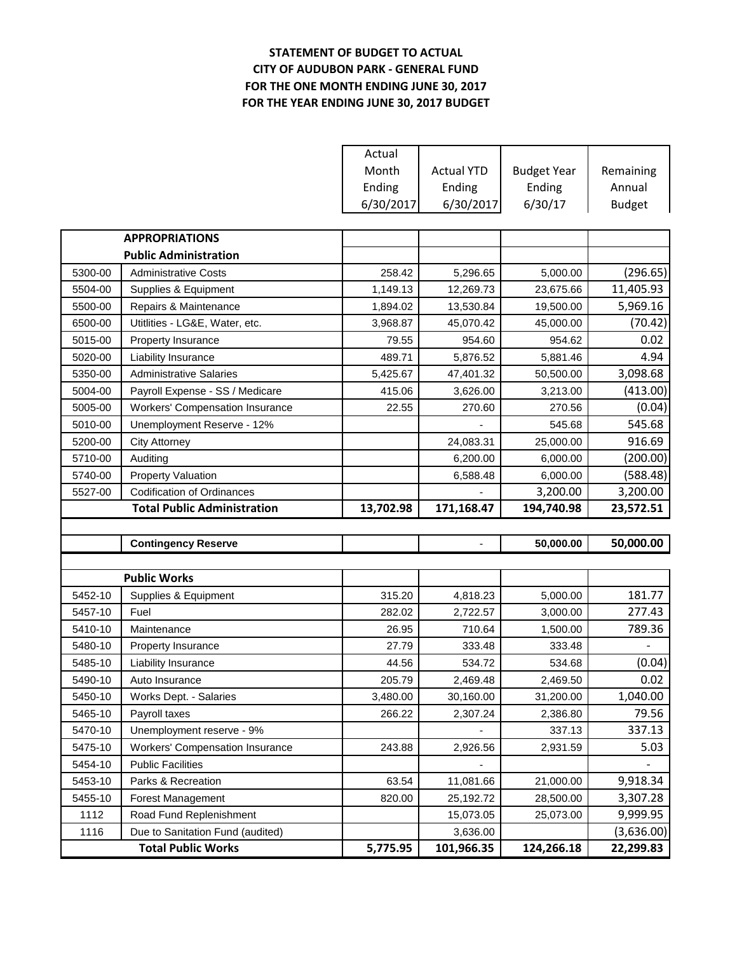## **STATEMENT OF BUDGET TO ACTUAL CITY OF AUDUBON PARK - GENERAL FUND FOR THE ONE MONTH ENDING JUNE 30, 2017 FOR THE YEAR ENDING JUNE 30, 2017 BUDGET**

|         |                                        | Actual    |                   |                    |               |
|---------|----------------------------------------|-----------|-------------------|--------------------|---------------|
|         |                                        | Month     | <b>Actual YTD</b> | <b>Budget Year</b> | Remaining     |
|         |                                        | Ending    | Ending            | Ending             | Annual        |
|         |                                        | 6/30/2017 | 6/30/2017         | 6/30/17            | <b>Budget</b> |
|         |                                        |           |                   |                    |               |
|         | <b>APPROPRIATIONS</b>                  |           |                   |                    |               |
|         | <b>Public Administration</b>           |           |                   |                    |               |
| 5300-00 | <b>Administrative Costs</b>            | 258.42    | 5,296.65          | 5,000.00           | (296.65)      |
| 5504-00 | Supplies & Equipment                   | 1,149.13  | 12,269.73         | 23,675.66          | 11,405.93     |
| 5500-00 | Repairs & Maintenance                  | 1,894.02  | 13,530.84         | 19,500.00          | 5,969.16      |
| 6500-00 | Utitlities - LG&E, Water, etc.         | 3,968.87  | 45,070.42         | 45,000.00          | (70.42)       |
| 5015-00 | Property Insurance                     | 79.55     | 954.60            | 954.62             | 0.02          |
| 5020-00 | Liability Insurance                    | 489.71    | 5,876.52          | 5,881.46           | 4.94          |
| 5350-00 | <b>Administrative Salaries</b>         | 5,425.67  | 47,401.32         | 50,500.00          | 3,098.68      |
| 5004-00 | Payroll Expense - SS / Medicare        | 415.06    | 3,626.00          | 3,213.00           | (413.00)      |
| 5005-00 | <b>Workers' Compensation Insurance</b> | 22.55     | 270.60            | 270.56             | (0.04)        |
| 5010-00 | Unemployment Reserve - 12%             |           |                   | 545.68             | 545.68        |
| 5200-00 | <b>City Attorney</b>                   |           | 24,083.31         | 25,000.00          | 916.69        |
| 5710-00 | Auditing                               |           | 6,200.00          | 6,000.00           | (200.00)      |
| 5740-00 | <b>Property Valuation</b>              |           | 6,588.48          | 6,000.00           | (588.48)      |
| 5527-00 | <b>Codification of Ordinances</b>      |           |                   | 3,200.00           | 3,200.00      |
|         | <b>Total Public Administration</b>     | 13,702.98 | 171,168.47        | 194,740.98         | 23,572.51     |
|         |                                        |           |                   |                    |               |
|         | <b>Contingency Reserve</b>             |           |                   | 50,000.00          | 50,000.00     |
|         |                                        |           |                   |                    |               |
|         | <b>Public Works</b>                    |           |                   |                    |               |
| 5452-10 | Supplies & Equipment                   | 315.20    | 4,818.23          | 5,000.00           | 181.77        |
| 5457-10 | Fuel                                   | 282.02    | 2,722.57          | 3,000.00           | 277.43        |
| 5410-10 | Maintenance                            | 26.95     | 710.64            | 1,500.00           | 789.36        |
| 5480-10 | Property Insurance                     | 27.79     | 333.48            | 333.48             |               |
| 5485-10 | Liability Insurance                    | 44.56     | 534.72            | 534.68             | (0.04)        |
| 5490-10 | Auto Insurance                         | 205.79    | 2,469.48          | 2,469.50           | 0.02          |
| 5450-10 | Works Dept. - Salaries                 | 3,480.00  | 30,160.00         | 31,200.00          | 1,040.00      |
| 5465-10 | Payroll taxes                          | 266.22    | 2,307.24          | 2,386.80           | 79.56         |
| 5470-10 | Unemployment reserve - 9%              |           |                   | 337.13             | 337.13        |
| 5475-10 | <b>Workers' Compensation Insurance</b> | 243.88    | 2,926.56          | 2,931.59           | 5.03          |
| 5454-10 | <b>Public Facilities</b>               |           |                   |                    |               |
| 5453-10 | Parks & Recreation                     | 63.54     | 11,081.66         | 21,000.00          | 9,918.34      |
| 5455-10 | Forest Management                      | 820.00    | 25,192.72         | 28,500.00          | 3,307.28      |
|         |                                        |           |                   |                    |               |
| 1112    | Road Fund Replenishment                |           | 15,073.05         | 25,073.00          | 9,999.95      |
| 1116    | Due to Sanitation Fund (audited)       |           | 3,636.00          |                    | (3,636.00)    |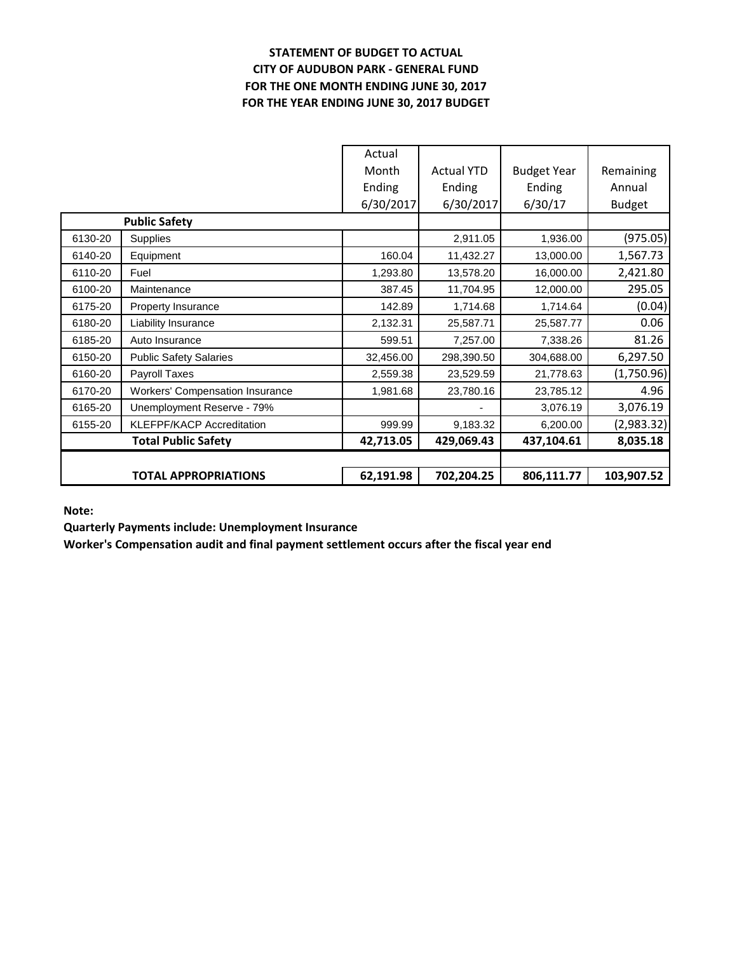## **STATEMENT OF BUDGET TO ACTUAL CITY OF AUDUBON PARK - GENERAL FUND FOR THE ONE MONTH ENDING JUNE 30, 2017 FOR THE YEAR ENDING JUNE 30, 2017 BUDGET**

|         |                                        | Actual    |                   |                    |               |
|---------|----------------------------------------|-----------|-------------------|--------------------|---------------|
|         |                                        | Month     | <b>Actual YTD</b> | <b>Budget Year</b> | Remaining     |
|         |                                        | Ending    | Ending            | Ending             | Annual        |
|         |                                        | 6/30/2017 | 6/30/2017         | 6/30/17            | <b>Budget</b> |
|         | <b>Public Safety</b>                   |           |                   |                    |               |
| 6130-20 | <b>Supplies</b>                        |           | 2,911.05          | 1,936.00           | (975.05)      |
| 6140-20 | Equipment                              | 160.04    | 11,432.27         | 13,000.00          | 1,567.73      |
| 6110-20 | Fuel                                   | 1,293.80  | 13,578.20         | 16,000.00          | 2,421.80      |
| 6100-20 | Maintenance                            | 387.45    | 11,704.95         | 12,000.00          | 295.05        |
| 6175-20 | Property Insurance                     | 142.89    | 1,714.68          | 1,714.64           | (0.04)        |
| 6180-20 | Liability Insurance                    | 2,132.31  | 25,587.71         | 25,587.77          | 0.06          |
| 6185-20 | Auto Insurance                         | 599.51    | 7,257.00          | 7,338.26           | 81.26         |
| 6150-20 | <b>Public Safety Salaries</b>          | 32,456.00 | 298,390.50        | 304,688.00         | 6,297.50      |
| 6160-20 | Payroll Taxes                          | 2,559.38  | 23,529.59         | 21,778.63          | (1,750.96)    |
| 6170-20 | <b>Workers' Compensation Insurance</b> | 1,981.68  | 23,780.16         | 23,785.12          | 4.96          |
| 6165-20 | Unemployment Reserve - 79%             |           |                   | 3,076.19           | 3,076.19      |
| 6155-20 | <b>KLEFPF/KACP Accreditation</b>       | 999.99    | 9,183.32          | 6,200.00           | (2,983.32)    |
|         | <b>Total Public Safety</b>             | 42,713.05 | 429,069.43        | 437,104.61         | 8,035.18      |
|         |                                        |           |                   |                    |               |
|         | <b>TOTAL APPROPRIATIONS</b>            | 62,191.98 | 702,204.25        | 806,111.77         | 103,907.52    |

**Note:**

**Quarterly Payments include: Unemployment Insurance**

**Worker's Compensation audit and final payment settlement occurs after the fiscal year end**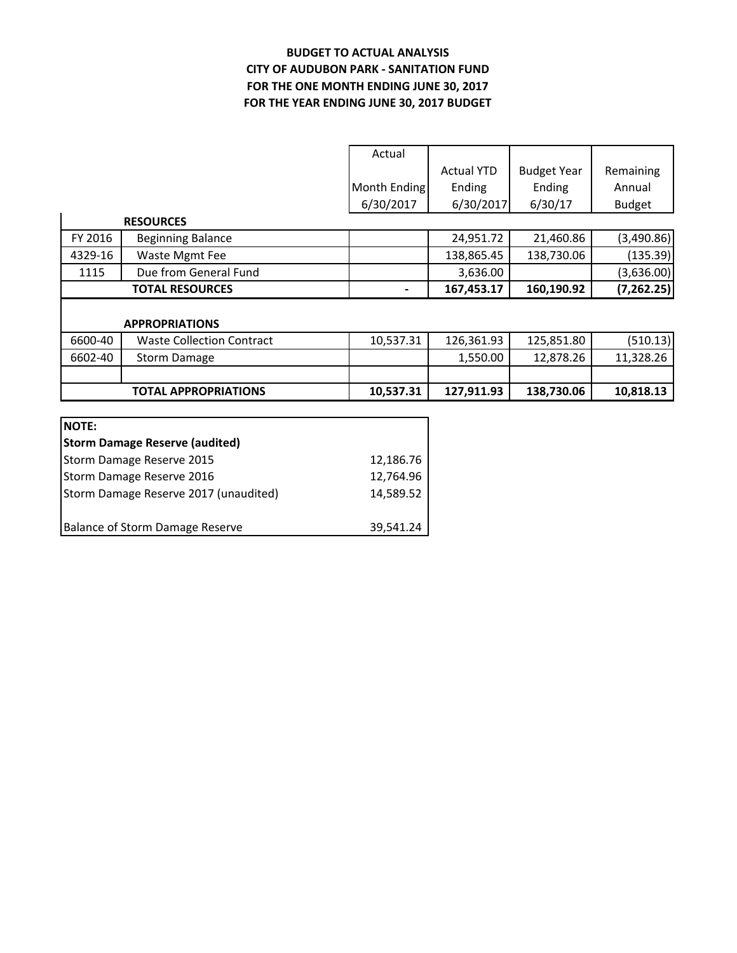### **BUDGET TO ACTUAL ANALYSIS CITY OF AUDUBON PARK - SANITATION FUND FOR THE YEAR ENDING JUNE 30, 2017 BUDGET FOR THE ONE MONTH ENDING JUNE 30, 2017**

|              |                                       | Actual       |                   |                    |               |
|--------------|---------------------------------------|--------------|-------------------|--------------------|---------------|
|              |                                       |              | <b>Actual YTD</b> | <b>Budget Year</b> | Remaining     |
|              |                                       | Month Ending | Ending            | Ending             | Annual        |
|              |                                       | 6/30/2017    | 6/30/2017         | 6/30/17            | <b>Budget</b> |
|              | <b>RESOURCES</b>                      |              |                   |                    |               |
| FY 2016      | <b>Beginning Balance</b>              |              | 24,951.72         | 21,460.86          | (3,490.86)    |
| 4329-16      | Waste Mgmt Fee                        |              | 138,865.45        | 138,730.06         | (135.39)      |
| 1115         | Due from General Fund                 |              | 3,636.00          |                    | (3,636.00)    |
|              | <b>TOTAL RESOURCES</b>                |              | 167,453.17        | 160,190.92         | (7, 262.25)   |
|              | <b>APPROPRIATIONS</b>                 |              |                   |                    |               |
| 6600-40      | <b>Waste Collection Contract</b>      | 10,537.31    | 126,361.93        | 125,851.80         | (510.13)      |
| 6602-40      | <b>Storm Damage</b>                   |              | 1,550.00          | 12,878.26          | 11,328.26     |
|              |                                       |              |                   |                    |               |
|              | <b>TOTAL APPROPRIATIONS</b>           | 10,537.31    | 127,911.93        | 138,730.06         | 10,818.13     |
|              |                                       |              |                   |                    |               |
| <b>NOTE:</b> |                                       |              |                   |                    |               |
|              | <b>Storm Damage Reserve (audited)</b> |              |                   |                    |               |
|              | Storm Damage Reserve 2015             | 12,186.76    |                   |                    |               |
|              | Storm Damage Reserve 2016             | 12,764.96    |                   |                    |               |

| Balance of Storm Damage Reserve | 39.541.24 |
|---------------------------------|-----------|

Storm Damage Reserve 2017 (unaudited) 14,589.52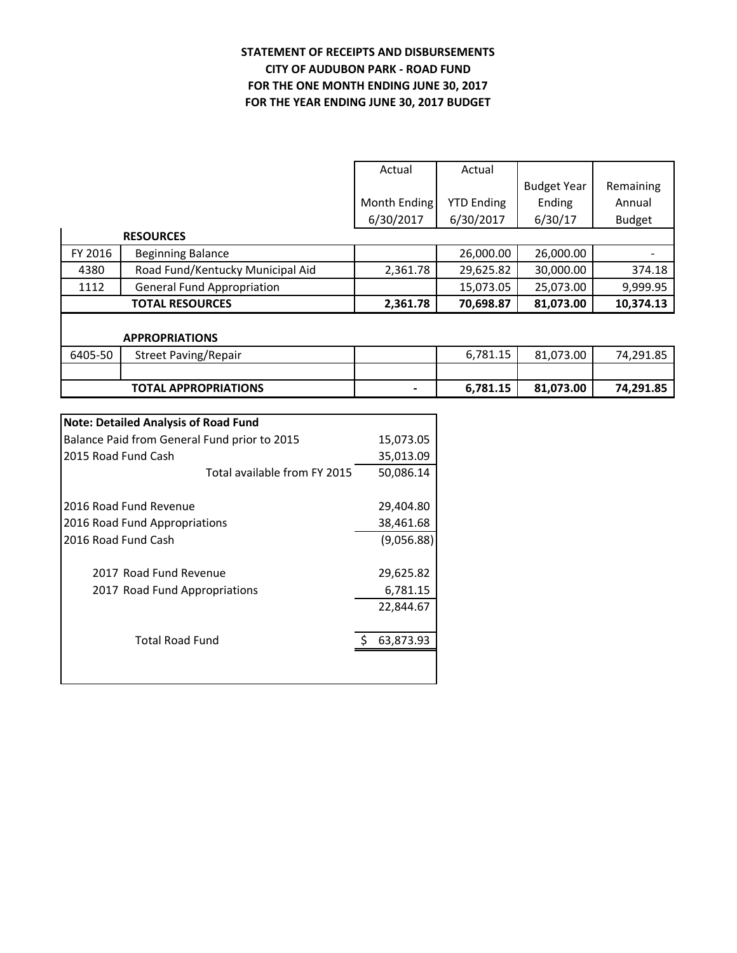### **STATEMENT OF RECEIPTS AND DISBURSEMENTS CITY OF AUDUBON PARK - ROAD FUND FOR THE YEAR ENDING JUNE 30, 2017 BUDGET FOR THE ONE MONTH ENDING JUNE 30, 2017**

|                               |                                              | Actual       | Actual            |                    |               |
|-------------------------------|----------------------------------------------|--------------|-------------------|--------------------|---------------|
|                               |                                              |              |                   | <b>Budget Year</b> | Remaining     |
|                               |                                              | Month Ending | <b>YTD Ending</b> | Ending             | Annual        |
|                               |                                              | 6/30/2017    | 6/30/2017         | 6/30/17            | <b>Budget</b> |
|                               | <b>RESOURCES</b>                             |              |                   |                    |               |
| FY 2016                       | <b>Beginning Balance</b>                     |              | 26,000.00         | 26,000.00          |               |
| 4380                          | Road Fund/Kentucky Municipal Aid             | 2,361.78     | 29,625.82         | 30,000.00          | 374.18        |
| 1112                          | <b>General Fund Appropriation</b>            |              | 15,073.05         | 25,073.00          | 9,999.95      |
|                               | <b>TOTAL RESOURCES</b>                       | 2,361.78     | 70,698.87         | 81,073.00          | 10,374.13     |
|                               |                                              |              |                   |                    |               |
|                               | <b>APPROPRIATIONS</b>                        |              |                   |                    |               |
| 6405-50                       | <b>Street Paving/Repair</b>                  |              | 6,781.15          | 81,073.00          | 74,291.85     |
|                               |                                              |              |                   |                    |               |
|                               | <b>TOTAL APPROPRIATIONS</b>                  |              | 6,781.15          | 81,073.00          | 74,291.85     |
|                               |                                              |              |                   |                    |               |
|                               | <b>Note: Detailed Analysis of Road Fund</b>  |              |                   |                    |               |
|                               | Balance Paid from General Fund prior to 2015 | 15,073.05    |                   |                    |               |
| 2015 Road Fund Cash           |                                              | 35,013.09    |                   |                    |               |
|                               | Total available from FY 2015                 | 50,086.14    |                   |                    |               |
| 2016 Road Fund Revenue        |                                              | 29,404.80    |                   |                    |               |
| 2016 Road Fund Appropriations |                                              | 38,461.68    |                   |                    |               |
| 2016 Road Fund Cash           |                                              | (9,056.88)   |                   |                    |               |
|                               | 2017 Road Fund Revenue                       | 29,625.82    |                   |                    |               |
|                               | 2017 Road Fund Appropriations                | 6,781.15     |                   |                    |               |
|                               |                                              | 22,844.67    |                   |                    |               |
|                               | <b>Total Road Fund</b>                       | 63,873.93    |                   |                    |               |
|                               |                                              |              |                   |                    |               |
|                               |                                              |              |                   |                    |               |